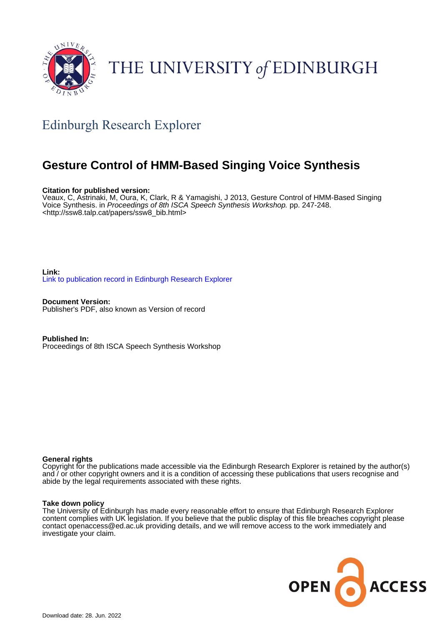

# THE UNIVERSITY of EDINBURGH

## Edinburgh Research Explorer

### **Gesture Control of HMM-Based Singing Voice Synthesis**

#### **Citation for published version:**

Veaux, C, Astrinaki, M, Oura, K, Clark, R & Yamagishi, J 2013, Gesture Control of HMM-Based Singing Voice Synthesis. in Proceedings of 8th ISCA Speech Synthesis Workshop. pp. 247-248. <[http://ssw8.talp.cat/papers/ssw8\\_bib.html](http://ssw8.talp.cat/papers/ssw8_bib.html)>

**Link:** [Link to publication record in Edinburgh Research Explorer](https://www.research.ed.ac.uk/en/publications/88bca6f3-f572-417d-b4ca-65c7755ca0cd)

**Document Version:** Publisher's PDF, also known as Version of record

**Published In:** Proceedings of 8th ISCA Speech Synthesis Workshop

#### **General rights**

Copyright for the publications made accessible via the Edinburgh Research Explorer is retained by the author(s) and / or other copyright owners and it is a condition of accessing these publications that users recognise and abide by the legal requirements associated with these rights.

#### **Take down policy**

The University of Edinburgh has made every reasonable effort to ensure that Edinburgh Research Explorer content complies with UK legislation. If you believe that the public display of this file breaches copyright please contact openaccess@ed.ac.uk providing details, and we will remove access to the work immediately and investigate your claim.

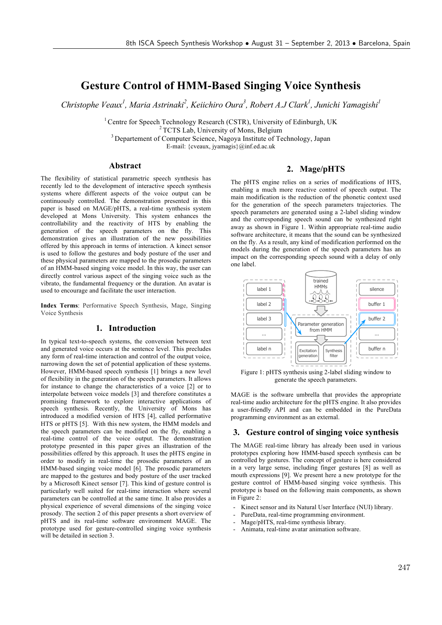### **Gesture Control of HMM-Based Singing Voice Synthesis**

Christophe Veaux<sup>1</sup>, Maria Astrinaki<sup>2</sup>, Keiichiro Oura<sup>3</sup>, Robert A.J Clark<sup>1</sup>, Junichi Yamagishi<sup>1</sup>

<sup>1</sup> Centre for Speech Technology Research (CSTR), University of Edinburgh, UK<br><sup>2</sup> TCTS Lab, University of Mons, Belgium <sup>3</sup> Departement of Computer Science, Nagoya Institute of Technology, Japan

E-mail: {cveaux, jyamagis}@inf.ed.ac.uk

#### **Abstract**

The flexibility of statistical parametric speech synthesis has recently led to the development of interactive speech synthesis systems where different aspects of the voice output can be continuously controlled. The demonstration presented in this paper is based on MAGE/pHTS, a real-time synthesis system developed at Mons University. This system enhances the controllability and the reactivity of HTS by enabling the generation of the speech parameters on the fly. This demonstration gives an illustration of the new possibilities offered by this approach in terms of interaction. A kinect sensor is used to follow the gestures and body posture of the user and these physical parameters are mapped to the prosodic parameters of an HMM-based singing voice model. In this way, the user can directly control various aspect of the singing voice such as the vibrato, the fundamental frequency or the duration. An avatar is used to encourage and facilitate the user interaction.

**Index Terms**: Performative Speech Synthesis, Mage, Singing Voice Synthesis

#### **1. Introduction**

In typical text-to-speech systems, the conversion between text and generated voice occurs at the sentence level. This precludes any form of real-time interaction and control of the output voice, narrowing down the set of potential application of these systems. However, HMM-based speech synthesis [1] brings a new level of flexibility in the generation of the speech parameters. It allows for instance to change the characteristics of a voice [2] or to interpolate between voice models [3] and therefore constitutes a promising framework to explore interactive applications of speech synthesis. Recently, the University of Mons has introduced a modified version of HTS [4], called performative HTS or pHTS [5]. With this new system, the HMM models and the speech parameters can be modified on the fly, enabling a real-time control of the voice output. The demonstration prototype presented in this paper gives an illustration of the possibilities offered by this approach. It uses the pHTS engine in order to modify in real-time the prosodic parameters of an HMM-based singing voice model [6]. The prosodic parameters are mapped to the gestures and body posture of the user tracked by a Microsoft Kinect sensor [7]. This kind of gesture control is particularly well suited for real-time interaction where several parameters can be controlled at the same time. It also provides a physical experience of several dimensions of the singing voice prosody. The section 2 of this paper presents a short overview of pHTS and its real-time software environment MAGE. The prototype used for gesture-controlled singing voice synthesis will be detailed in section 3.

#### **2. Mage/pHTS**

The pHTS engine relies on a series of modifications of HTS, enabling a much more reactive control of speech output. The main modification is the reduction of the phonetic context used for the generation of the speech parameters trajectories. The speech parameters are generated using a 2-label sliding window and the corresponding speech sound can be synthesized right away as shown in Figure 1. Within appropriate real-time audio software architecture, it means that the sound can be synthesized on the fly. As a result, any kind of modification performed on the models during the generation of the speech parameters has an impact on the corresponding speech sound with a delay of only one label.



Figure 1: pHTS synthesis using 2-label sliding window to generate the speech parameters.

MAGE is the software umbrella that provides the appropriate real-time audio architecture for the pHTS engine. It also provides a user-friendly API and can be embedded in the PureData programming environment as an external.

#### **3. Gesture control of singing voice synthesis**

The MAGE real-time library has already been used in various prototypes exploring how HMM-based speech synthesis can be controlled by gestures. The concept of gesture is here considered in a very large sense, including finger gestures [8] as well as mouth expressions [9]. We present here a new prototype for the gesture control of HMM-based singing voice synthesis. This prototype is based on the following main components, as shown in Figure 2:

- Kinect sensor and its Natural User Interface (NUI) library.
- PureData, real-time programming environment.
- Mage/pHTS, real-time synthesis library.
- Animata, real-time avatar animation software.